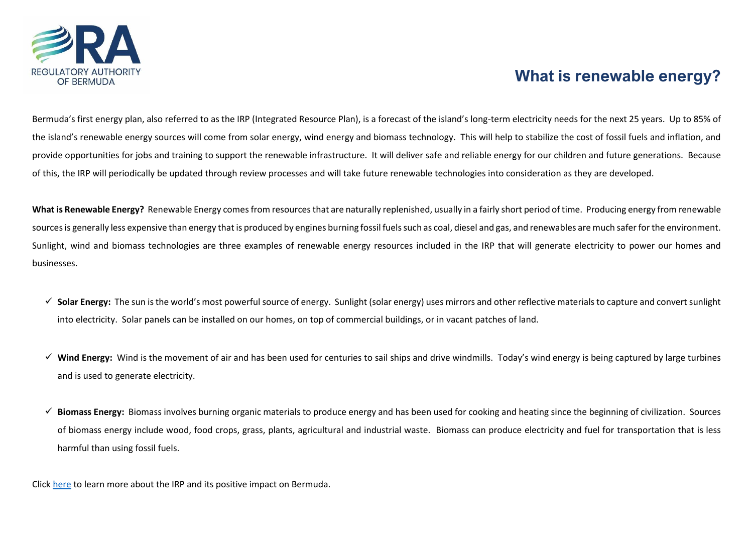

## **What is renewable energy?**

Bermuda's first energy plan, also referred to as the IRP (Integrated Resource Plan), is a forecast of the island's long-term electricity needs for the next 25 years. Up to 85% of the island's renewable energy sources will come from solar energy, wind energy and biomass technology. This will help to stabilize the cost of fossil fuels and inflation, and provide opportunities for jobs and training to support the renewable infrastructure. It will deliver safe and reliable energy for our children and future generations. Because of this, the IRP will periodically be updated through review processes and will take future renewable technologies into consideration as they are developed.

**What is Renewable Energy?** Renewable Energy comesfrom resources that are naturally replenished, usually in a fairly short period of time. Producing energy from renewable sources is generally less expensive than energy that is produced by engines burning fossil fuels such as coal, diesel and gas, and renewables are much safer for the environment. Sunlight, wind and biomass technologies are three examples of renewable energy resources included in the IRP that will generate electricity to power our homes and businesses.

- ✓ **Solar Energy:** The sun is the world's most powerful source of energy. Sunlight (solar energy) uses mirrors and other reflective materials to capture and convert sunlight into electricity. Solar panels can be installed on our homes, on top of commercial buildings, or in vacant patches of land.
- ✓ **Wind Energy:** Wind is the movement of air and has been used for centuries to sail ships and drive windmills. Today's wind energy is being captured by large turbines and is used to generate electricity.
- ✓ **Biomass Energy:** Biomass involves burning organic materials to produce energy and has been used for cooking and heating since the beginning of civilization. Sources of biomass energy include wood, food crops, grass, plants, agricultural and industrial waste. Biomass can produce electricity and fuel for transportation that is less harmful than using fossil fuels.

Click [here](https://ra.bm/irp/) to learn more about the IRP and its positive impact on Bermuda.